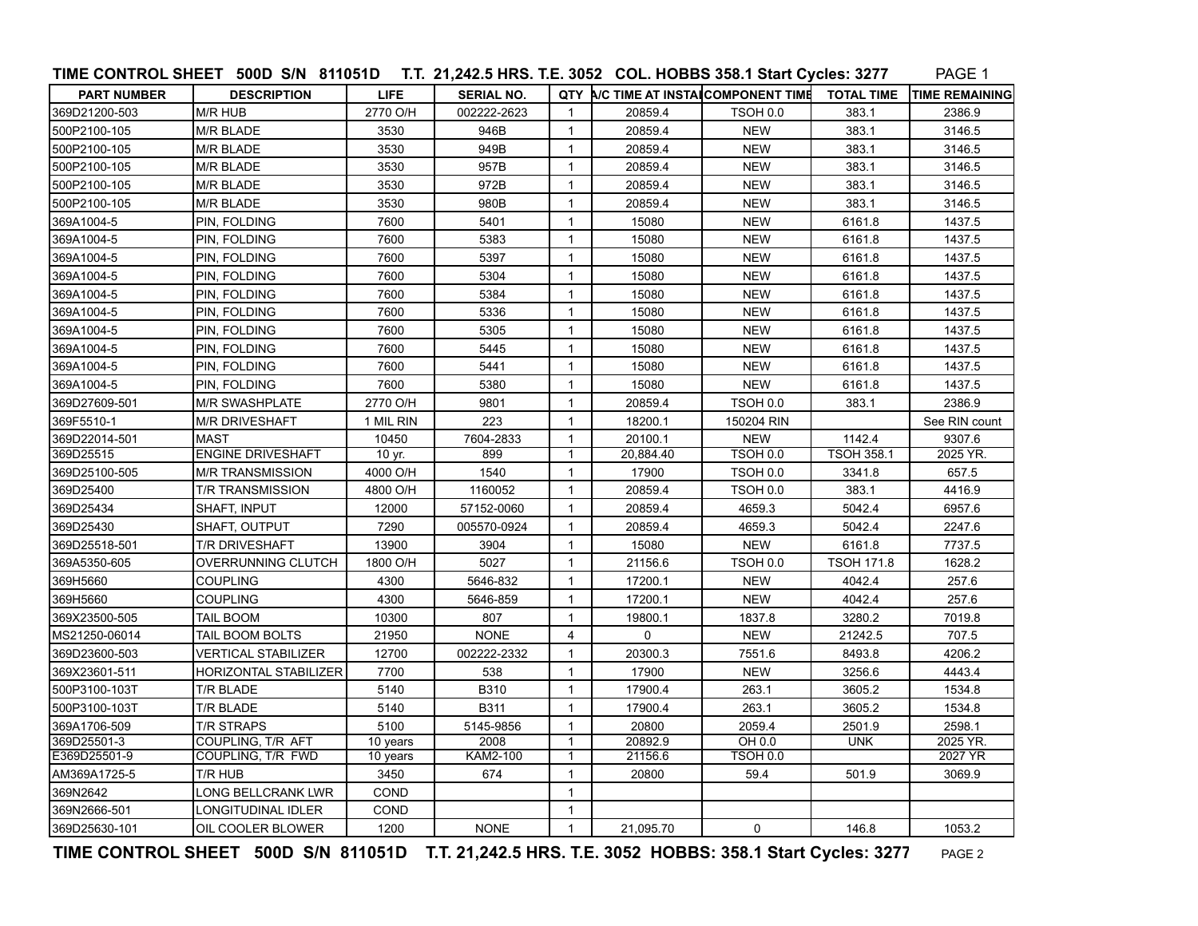|                    | TIME CONTROL SHEET 500D S/N 811051D T.T. 21,242.5 HRS. T.E. 3052 COL. HOBBS 358.1 Start Cycles: 3277 |             |                   |                |                                     |                 |                   | PAGE 1                |
|--------------------|------------------------------------------------------------------------------------------------------|-------------|-------------------|----------------|-------------------------------------|-----------------|-------------------|-----------------------|
| <b>PART NUMBER</b> | <b>DESCRIPTION</b>                                                                                   | <b>LIFE</b> | <b>SERIAL NO.</b> |                | QTY NC TIME AT INSTAICOMPONENT TIME |                 | <b>TOTAL TIME</b> | <b>TIME REMAINING</b> |
| 369D21200-503      | M/R HUB                                                                                              | 2770 O/H    | 002222-2623       | $\mathbf{1}$   | 20859.4                             | TSOH 0.0        | 383.1             | 2386.9                |
| 500P2100-105       | M/R BLADE                                                                                            | 3530        | 946B              | $\mathbf{1}$   | 20859.4                             | <b>NEW</b>      | 383.1             | 3146.5                |
| 500P2100-105       | M/R BLADE                                                                                            | 3530        | 949B              | $\mathbf{1}$   | 20859.4                             | <b>NEW</b>      | 383.1             | 3146.5                |
| 500P2100-105       | M/R BLADE                                                                                            | 3530        | 957B              | $\mathbf{1}$   | 20859.4                             | <b>NEW</b>      | 383.1             | 3146.5                |
| 500P2100-105       | M/R BLADE                                                                                            | 3530        | 972B              | $\mathbf{1}$   | 20859.4                             | <b>NEW</b>      | 383.1             | 3146.5                |
| 500P2100-105       | M/R BLADE                                                                                            | 3530        | 980B              | $\mathbf{1}$   | 20859.4                             | <b>NEW</b>      | 383.1             | 3146.5                |
| 369A1004-5         | PIN, FOLDING                                                                                         | 7600        | 5401              | $\mathbf{1}$   | 15080                               | <b>NEW</b>      | 6161.8            | 1437.5                |
| 369A1004-5         | PIN, FOLDING                                                                                         | 7600        | 5383              | $\mathbf{1}$   | 15080                               | <b>NEW</b>      | 6161.8            | 1437.5                |
| 369A1004-5         | PIN, FOLDING                                                                                         | 7600        | 5397              | $\mathbf{1}$   | 15080                               | <b>NEW</b>      | 6161.8            | 1437.5                |
| 369A1004-5         | PIN, FOLDING                                                                                         | 7600        | 5304              | $\mathbf{1}$   | 15080                               | <b>NEW</b>      | 6161.8            | 1437.5                |
| 369A1004-5         | PIN, FOLDING                                                                                         | 7600        | 5384              | $\mathbf{1}$   | 15080                               | <b>NEW</b>      | 6161.8            | 1437.5                |
| 369A1004-5         | PIN, FOLDING                                                                                         | 7600        | 5336              | $\mathbf{1}$   | 15080                               | <b>NEW</b>      | 6161.8            | 1437.5                |
| 369A1004-5         | PIN, FOLDING                                                                                         | 7600        | 5305              | $\mathbf{1}$   | 15080                               | <b>NEW</b>      | 6161.8            | 1437.5                |
| 369A1004-5         | PIN, FOLDING                                                                                         | 7600        | 5445              | $\mathbf{1}$   | 15080                               | <b>NEW</b>      | 6161.8            | 1437.5                |
| 369A1004-5         | PIN, FOLDING                                                                                         | 7600        | 5441              | $\mathbf{1}$   | 15080                               | <b>NEW</b>      | 6161.8            | 1437.5                |
| 369A1004-5         | PIN, FOLDING                                                                                         | 7600        | 5380              | $\mathbf{1}$   | 15080                               | <b>NEW</b>      | 6161.8            | 1437.5                |
| 369D27609-501      | <b>M/R SWASHPLATE</b>                                                                                | 2770 O/H    | 9801              | $\mathbf{1}$   | 20859.4                             | TSOH 0.0        | 383.1             | 2386.9                |
| 369F5510-1         | M/R DRIVESHAFT                                                                                       | 1 MIL RIN   | 223               | $\mathbf{1}$   | 18200.1                             | 150204 RIN      |                   | See RIN count         |
| 369D22014-501      | MAST                                                                                                 | 10450       | 7604-2833         | 1              | 20100.1                             | <b>NEW</b>      | 1142.4            | 9307.6                |
| 369D25515          | <b>ENGINE DRIVESHAFT</b>                                                                             | 10 yr.      | 899               | $\mathbf{1}$   | 20,884.40                           | <b>TSOH 0.0</b> | <b>TSOH 358.1</b> | 2025 YR.              |
| 369D25100-505      | <b>M/R TRANSMISSION</b>                                                                              | 4000 O/H    | 1540              | $\mathbf{1}$   | 17900                               | TSOH 0.0        | 3341.8            | 657.5                 |
| 369D25400          | T/R TRANSMISSION                                                                                     | 4800 O/H    | 1160052           | $\mathbf{1}$   | 20859.4                             | TSOH 0.0        | 383.1             | 4416.9                |
| 369D25434          | SHAFT, INPUT                                                                                         | 12000       | 57152-0060        | $\mathbf{1}$   | 20859.4                             | 4659.3          | 5042.4            | 6957.6                |
| 369D25430          | SHAFT, OUTPUT                                                                                        | 7290        | 005570-0924       | $\mathbf{1}$   | 20859.4                             | 4659.3          | 5042.4            | 2247.6                |
| 369D25518-501      | T/R DRIVESHAFT                                                                                       | 13900       | 3904              | $\mathbf{1}$   | 15080                               | <b>NEW</b>      | 6161.8            | 7737.5                |
| 369A5350-605       | OVERRUNNING CLUTCH                                                                                   | 1800 O/H    | 5027              | $\mathbf{1}$   | 21156.6                             | TSOH 0.0        | <b>TSOH 171.8</b> | 1628.2                |
| 369H5660           | <b>COUPLING</b>                                                                                      | 4300        | 5646-832          | $\mathbf{1}$   | 17200.1                             | <b>NEW</b>      | 4042.4            | 257.6                 |
| 369H5660           | <b>COUPLING</b>                                                                                      | 4300        | 5646-859          | $\mathbf{1}$   | 17200.1                             | <b>NEW</b>      | 4042.4            | 257.6                 |
| 369X23500-505      | TAIL BOOM                                                                                            | 10300       | 807               | $\mathbf{1}$   | 19800.1                             | 1837.8          | 3280.2            | 7019.8                |
| MS21250-06014      | TAIL BOOM BOLTS                                                                                      | 21950       | <b>NONE</b>       | $\overline{4}$ | $\mathbf 0$                         | <b>NEW</b>      | 21242.5           | 707.5                 |
| 369D23600-503      | <b>VERTICAL STABILIZER</b>                                                                           | 12700       | 002222-2332       | $\mathbf{1}$   | 20300.3                             | 7551.6          | 8493.8            | 4206.2                |
| 369X23601-511      | HORIZONTAL STABILIZER                                                                                | 7700        | 538               | $\mathbf{1}$   | 17900                               | <b>NEW</b>      | 3256.6            | 4443.4                |
| 500P3100-103T      | T/R BLADE                                                                                            | 5140        | B310              | $\mathbf{1}$   | 17900.4                             | 263.1           | 3605.2            | 1534.8                |
| 500P3100-103T      | T/R BLADE                                                                                            | 5140        | B311              | $\mathbf{1}$   | 17900.4                             | 263.1           | 3605.2            | 1534.8                |
| 369A1706-509       | <b>T/R STRAPS</b>                                                                                    | 5100        | 5145-9856         | $\mathbf{1}$   | 20800                               | 2059.4          | 2501.9            | 2598.1                |
| 369D25501-3        | COUPLING, T/R AFT                                                                                    | 10 years    | 2008              | $\mathbf{1}$   | 20892.9                             | OH 0.0          | <b>UNK</b>        | 2025 YR.              |
| E369D25501-9       | COUPLING, T/R FWD                                                                                    | 10 years    | <b>KAM2-100</b>   | 1              | 21156.6                             | <b>TSOH 0.0</b> |                   | 2027 YR               |
| AM369A1725-5       | T/R HUB                                                                                              | 3450        | 674               | $\mathbf{1}$   | 20800                               | 59.4            | 501.9             | 3069.9                |
| 369N2642           | LONG BELLCRANK LWR                                                                                   | COND        |                   | $\mathbf{1}$   |                                     |                 |                   |                       |
| 369N2666-501       | LONGITUDINAL IDLER                                                                                   | COND        |                   | $\mathbf{1}$   |                                     |                 |                   |                       |
| 369D25630-101      | OIL COOLER BLOWER                                                                                    | 1200        | <b>NONE</b>       | $\mathbf{1}$   | 21,095.70                           | $\Omega$        | 146.8             | 1053.2                |

**TIME CONTROL SHEET 500D S/N 811051D T.T. 21,242.5 HRS. T.E. 3052 HOBBS: 358.1 Start Cycles: 3277** PAGE 2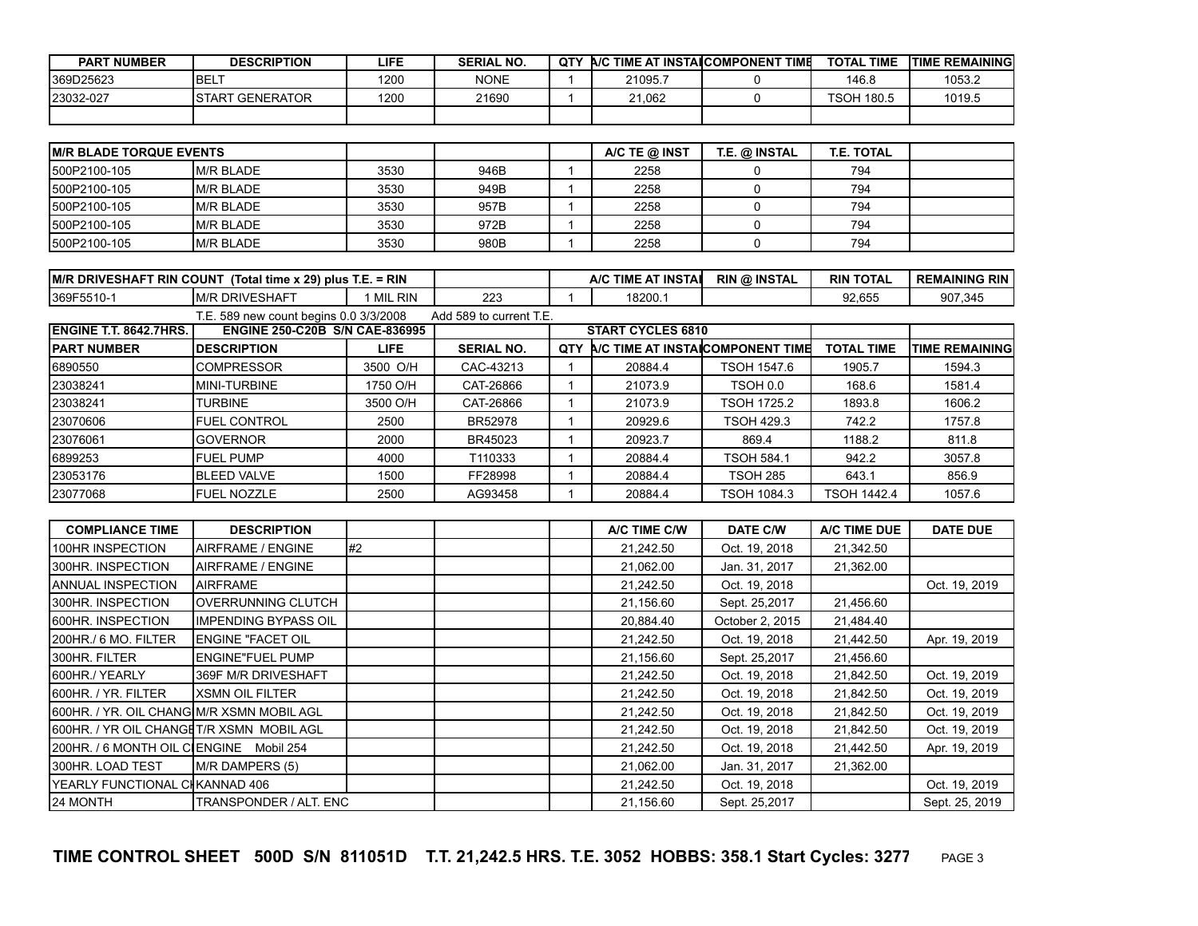| <b>PART NUMBER</b> | <b>DESCRIPTION</b> | LIFE | <b>SERIAL NO.</b> | <b>QTY</b> |         | A/C TIME AT INSTAICOMPONENT TIME | <b>TOTAL</b><br>. TIME | <b>ITIME REMAINING</b> |
|--------------------|--------------------|------|-------------------|------------|---------|----------------------------------|------------------------|------------------------|
| I369D25623         | <b>IBEL7</b>       | 1200 | <b>NONE</b>       |            | 21095.7 |                                  | 146.8                  | 1053.2                 |
| 123032-027         | ISTART GENERATOR   | 1200 | 21690             |            | 21.062  |                                  | <b>TSOH 180.5</b>      | 1019.5                 |
|                    |                    |      |                   |            |         |                                  |                        |                        |

| <b>IM/R BLADE TORQUE EVENTS</b> |                   |      |      | A/C TE @ INST | T.E. @ INSTAL | T.E. TOTAL |  |
|---------------------------------|-------------------|------|------|---------------|---------------|------------|--|
| I500P2100-105                   | IM/R BLADE        | 3530 | 946B | 2258          |               | 794        |  |
| I500P2100-105                   | IM/R BLADE        | 3530 | 949B | 2258          |               | 794        |  |
| I500P2100-105                   | M/R BLADE         | 3530 | 957B | 2258          |               | 794        |  |
| I500P2100-105                   | <b>IM/R BLADE</b> | 3530 | 972B | 2258          |               | 794        |  |
| I500P2100-105                   | <b>IM/R BLADE</b> | 3530 | 980B | 2258          |               | 794        |  |

| <b>IM/R DRIVESHAFT RIN COUNT</b>                                                                                                                                                                                               | (Total time x 29) plus   | <b>RIN</b><br>=<br>. |     |  | `AT INSTAI<br><b>A/C TIME</b> | <b>RIN @ INSTAL</b> | <b>RIN TOTAL</b> | <b>RIN</b><br><b>REMAINING</b> |
|--------------------------------------------------------------------------------------------------------------------------------------------------------------------------------------------------------------------------------|--------------------------|----------------------|-----|--|-------------------------------|---------------------|------------------|--------------------------------|
| I369F5510-                                                                                                                                                                                                                     | <b>RIVESHAFT</b><br>IM/R | . RIN<br>M           | 223 |  | 18200.                        |                     | 92.655           | 907.345                        |
| $F(0.0, 0.00, 0.00, 0.00, 0.00, 0.00, 0.00, 0.00, 0.00, 0.00, 0.00, 0.00, 0.00, 0.00, 0.00, 0.00, 0.00, 0.00, 0.00, 0.00, 0.00, 0.00, 0.00, 0.00, 0.00, 0.00, 0.00, 0.00, 0.00, 0.00, 0.00, 0.00, 0.00, 0.00, 0.00, 0.00, 0.0$ |                          |                      |     |  |                               |                     |                  |                                |

|                                | I.E. 589 new count begins 0.0 3/3/2008 |          | Add 589 to current T.E. |                          |         |                                         |                    |                        |
|--------------------------------|----------------------------------------|----------|-------------------------|--------------------------|---------|-----------------------------------------|--------------------|------------------------|
| <b>IENGINE T.T. 8642.7HRS.</b> | <b>ENGINE 250-C20B S/N CAE-836995</b>  |          |                         | <b>START CYCLES 6810</b> |         |                                         |                    |                        |
| <b>IPART NUMBER</b>            | <b>IDESCRIPTION</b>                    | LIFE.    | <b>SERIAL NO.</b>       | QTY                      |         | <b>A/C TIME AT INSTAICOMPONENT TIME</b> | <b>TOTAL TIME</b>  | <b>TIME REMAININGI</b> |
| 6890550                        | ICOMPRESSOR                            | 3500 O/H | CAC-43213               |                          | 20884.4 | <b>TSOH 1547.6</b>                      | 1905.7             | 1594.3                 |
| 23038241                       | IMINI-TURBINE                          | 1750 O/H | CAT-26866               |                          | 21073.9 | TSOH 0.0                                | 168.6              | 1581.4                 |
| 23038241                       | <b>TURBINE</b>                         | 3500 O/H | CAT-26866               |                          | 21073.9 | <b>TSOH 1725.2</b>                      | 1893.8             | 1606.2                 |
| 23070606                       | <b>IFUEL CONTROL</b>                   | 2500     | <b>BR52978</b>          |                          | 20929.6 | TSOH 429.3                              | 742.2              | 1757.8                 |
| 23076061                       | IGOVERNOR                              | 2000     | BR45023                 |                          | 20923.7 | 869.4                                   | 1188.2             | 811.8                  |
| 6899253                        | IFUEL PUMP                             | 4000     | T110333                 |                          | 20884.4 | <b>TSOH 584.1</b>                       | 942.2              | 3057.8                 |
| 23053176                       | <b>IBLEED VALVE</b>                    | 1500     | FF28998                 |                          | 20884.4 | TSOH 285                                | 643.1              | 856.9                  |
| 23077068                       | <b>FUEL NOZZLE</b>                     | 2500     | AG93458                 |                          | 20884.4 | <b>TSOH 1084.3</b>                      | <b>TSOH 1442.4</b> | 1057.6                 |

| <b>COMPLIANCE TIME</b>                           | <b>DESCRIPTION</b>          |    |  | A/C TIME C/W | <b>DATE C/W</b> | A/C TIME DUE | <b>DATE DUE</b> |
|--------------------------------------------------|-----------------------------|----|--|--------------|-----------------|--------------|-----------------|
| 100HR INSPECTION                                 | AIRFRAME / ENGINE           | #2 |  | 21,242.50    | Oct. 19, 2018   | 21,342.50    |                 |
| 300HR. INSPECTION                                | AIRFRAME / ENGINE           |    |  | 21,062.00    | Jan. 31, 2017   | 21,362.00    |                 |
| <b>ANNUAL INSPECTION</b>                         | <b>AIRFRAME</b>             |    |  | 21,242.50    | Oct. 19, 2018   |              | Oct. 19, 2019   |
| 300HR. INSPECTION                                | IOVERRUNNING CLUTCH         |    |  | 21,156.60    | Sept. 25,2017   | 21,456.60    |                 |
| <b>I600HR. INSPECTION</b>                        | <b>IMPENDING BYPASS OIL</b> |    |  | 20,884.40    | October 2, 2015 | 21,484.40    |                 |
| 200HR./ 6 MO. FILTER                             | <b>ENGINE "FACET OIL</b>    |    |  | 21,242.50    | Oct. 19, 2018   | 21,442.50    | Apr. 19, 2019   |
| I300HR. FILTER                                   | <b>IENGINE"FUEL PUMP</b>    |    |  | 21,156.60    | Sept. 25,2017   | 21,456.60    |                 |
| 600HR./ YEARLY                                   | 369F M/R DRIVESHAFT         |    |  | 21,242.50    | Oct. 19, 2018   | 21,842.50    | Oct. 19, 2019   |
| 600HR. / YR. FILTER                              | IXSMN OIL FILTER            |    |  | 21,242.50    | Oct. 19, 2018   | 21,842.50    | Oct. 19, 2019   |
| <b>600HR. / YR. OIL CHANG M/R XSMN MOBIL AGL</b> |                             |    |  | 21,242.50    | Oct. 19, 2018   | 21,842.50    | Oct. 19, 2019   |
| 600HR. / YR OIL CHANGET/R XSMN MOBIL AGL         |                             |    |  | 21,242.50    | Oct. 19, 2018   | 21,842.50    | Oct. 19, 2019   |
| 200HR. / 6 MONTH OIL CIENGINE Mobil 254          |                             |    |  | 21,242.50    | Oct. 19, 2018   | 21,442.50    | Apr. 19, 2019   |
| I300HR. LOAD TEST                                | M/R DAMPERS (5)             |    |  | 21,062.00    | Jan. 31, 2017   | 21,362.00    |                 |
| YEARLY FUNCTIONAL CHKANNAD 406                   |                             |    |  | 21,242.50    | Oct. 19, 2018   |              | Oct. 19, 2019   |
| 24 MONTH                                         | TRANSPONDER / ALT. ENC      |    |  | 21,156.60    | Sept. 25,2017   |              | Sept. 25, 2019  |

**TIME CONTROL SHEET 500D S/N 811051D T.T. 21,242.5 HRS. T.E. 3052 HOBBS: 358.1 Start Cycles: 3277** PAGE 3